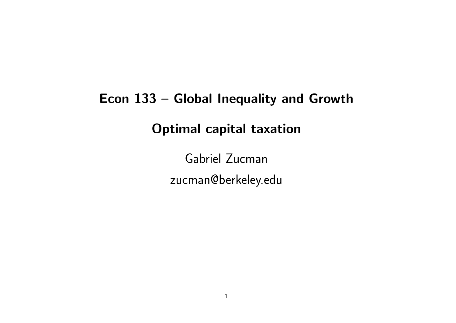# Econ 133 – Global Inequality and Growth Optimal capital taxation

Gabriel Zucman zucman@berkeley.edu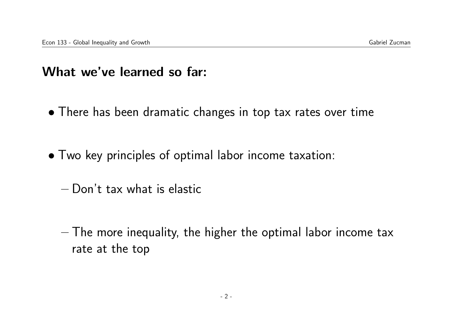#### What we've learned so far:

- There has been dramatic changes in top tax rates over time
- Two key principles of optimal labor income taxation:
	- Don't tax what is elastic
	- The more inequality, the higher the optimal labor income tax rate at the top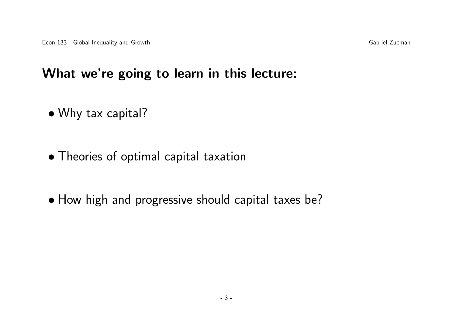#### What we're going to learn in this lecture:

- Why tax capital?
- Theories of optimal capital taxation
- How high and progressive should capital taxes be?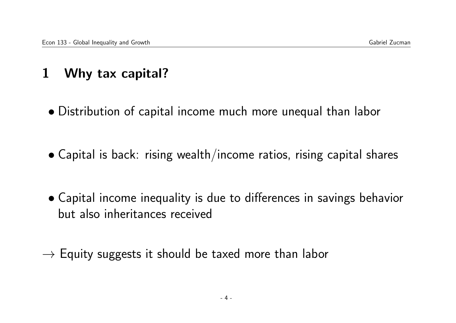# 1 Why tax capital?

- Distribution of capital income much more unequal than labor
- Capital is back: rising wealth/income ratios, rising capital shares
- Capital income inequality is due to differences in savings behavior but also inheritances received
- $\rightarrow$  Equity suggests it should be taxed more than labor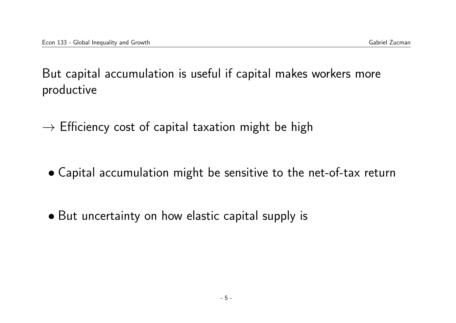But capital accumulation is useful if capital makes workers more productive

 $\rightarrow$  Efficiency cost of capital taxation might be high

- Capital accumulation might be sensitive to the net-of-tax return
- But uncertainty on how elastic capital supply is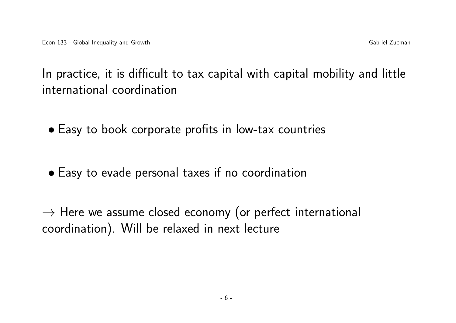In practice, it is difficult to tax capital with capital mobility and little international coordination

- Easy to book corporate profits in low-tax countries
- Easy to evade personal taxes if no coordination

 $\rightarrow$  Here we assume closed economy (or perfect international coordination). Will be relaxed in next lecture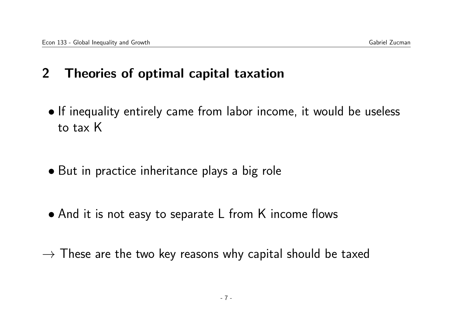# 2 Theories of optimal capital taxation

- If inequality entirely came from labor income, it would be useless to tax K
- But in practice inheritance plays a big role
- And it is not easy to separate L from K income flows
- $\rightarrow$  These are the two key reasons why capital should be taxed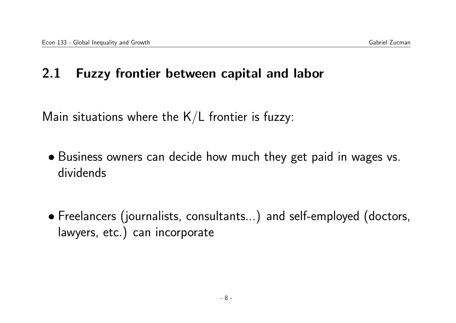#### 2.1 Fuzzy frontier between capital and labor

Main situations where the  $K/L$  frontier is fuzzy:

- Business owners can decide how much they get paid in wages vs. dividends
- Freelancers (journalists, consultants...) and self-employed (doctors, lawyers, etc.) can incorporate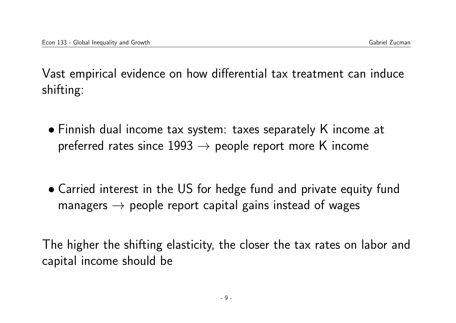Vast empirical evidence on how differential tax treatment can induce shifting:

- Finnish dual income tax system: taxes separately K income at preferred rates since  $1993 \rightarrow$  people report more K income
- Carried interest in the US for hedge fund and private equity fund managers  $\rightarrow$  people report capital gains instead of wages

The higher the shifting elasticity, the closer the tax rates on labor and capital income should be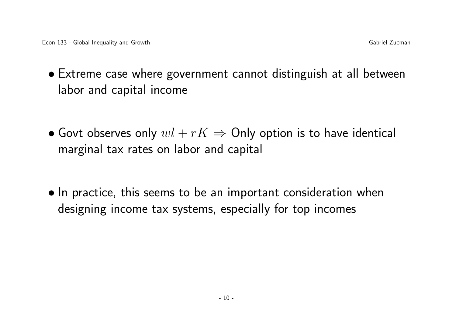- Extreme case where government cannot distinguish at all between labor and capital income
- Govt observes only  $wl + rK \Rightarrow$  Only option is to have identical marginal tax rates on labor and capital
- In practice, this seems to be an important consideration when designing income tax systems, especially for top incomes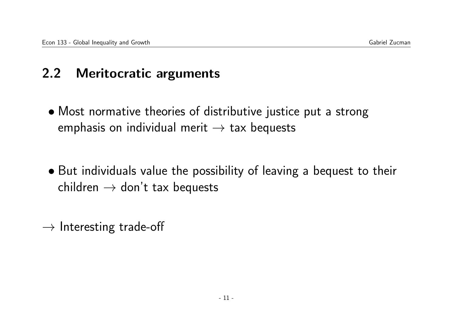# 2.2 Meritocratic arguments

- Most normative theories of distributive justice put a strong emphasis on individual merit  $\rightarrow$  tax bequests
- But individuals value the possibility of leaving a bequest to their children  $\rightarrow$  don't tax bequests
- $\rightarrow$  Interesting trade-off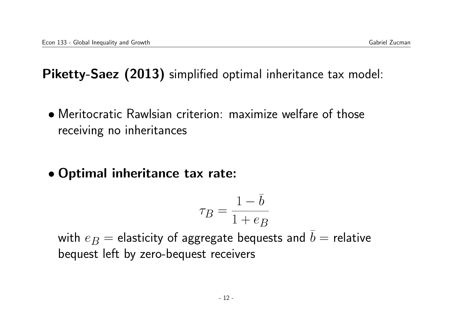Piketty-Saez (2013) simplified optimal inheritance tax model:

- Meritocratic Rawlsian criterion: maximize welfare of those receiving no inheritances
- Optimal inheritance tax rate:

$$
\tau_B = \frac{1 - \bar{b}}{1 + e_B}
$$

with  $e_B$  = elasticity of aggregate bequests and  $\overline{b}$  = relative bequest left by zero-bequest receivers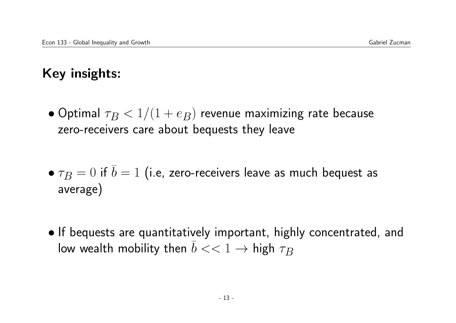# Key insights:

- Optimal  $\tau_B < 1/(1 + e_B)$  revenue maximizing rate because zero-receivers care about bequests they leave
- $\tau_B = 0$  if  $\overline{b} = 1$  (i.e, zero-receivers leave as much bequest as average)
- If bequests are quantitatively important, highly concentrated, and low wealth mobility then  $b \ll 1 \rightarrow$  high  $\tau_B$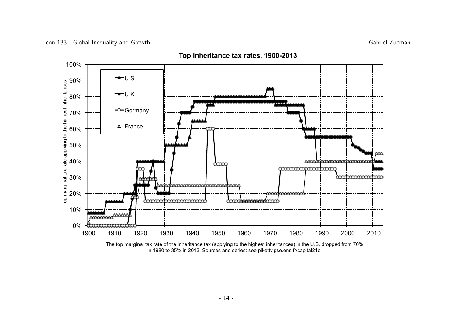

in 1980 to 35% in 2013. Sources and series: see piketty.pse.ens.fr/capital21c.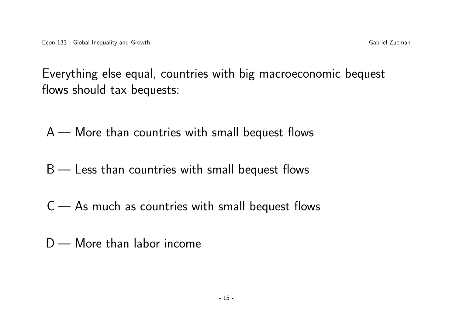Everything else equal, countries with big macroeconomic bequest flows should tax bequests:

A — More than countries with small bequest flows

- B Less than countries with small bequest flows
- $C$  As much as countries with small bequest flows
- D More than labor income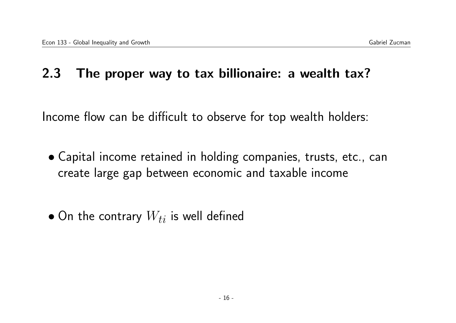#### 2.3 The proper way to tax billionaire: a wealth tax?

Income flow can be difficult to observe for top wealth holders:

- Capital income retained in holding companies, trusts, etc., can create large gap between economic and taxable income
- On the contrary  $W_{ti}$  is well defined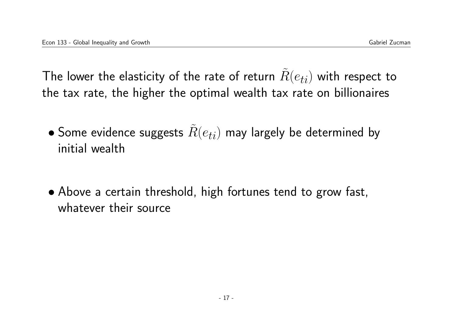The lower the elasticity of the rate of return  $R(e_{ti})$  with respect to the tax rate, the higher the optimal wealth tax rate on billionaires

- Some evidence suggests  $\tilde{R}(e_{ti})$  may largely be determined by initial wealth
- Above a certain threshold, high fortunes tend to grow fast, whatever their source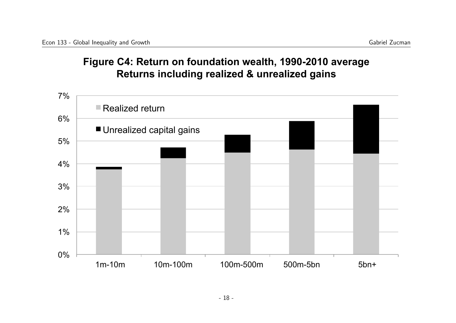#### **Figure C4: Return on foundation wealth, 1990-2010 average Returns including realized & unrealized gains**

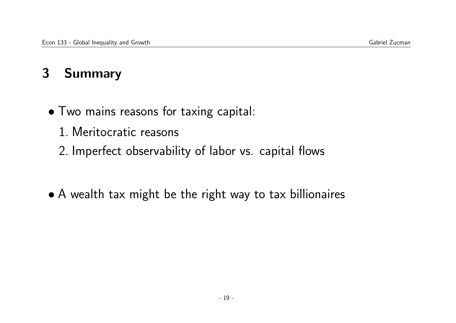# 3 Summary

- Two mains reasons for taxing capital:
	- 1. Meritocratic reasons
	- 2. Imperfect observability of labor vs. capital flows
- A wealth tax might be the right way to tax billionaires